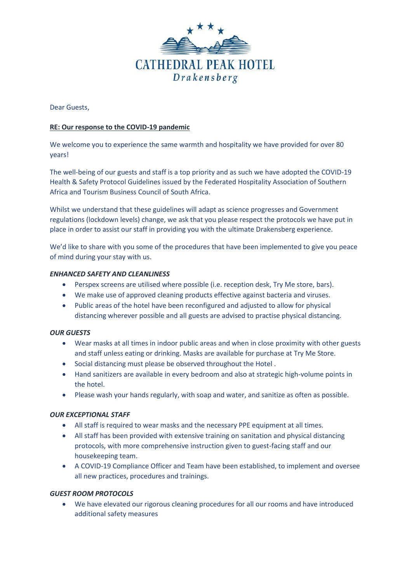

Dear Guests,

# **RE: Our response to the COVID-19 pandemic**

We welcome you to experience the same warmth and hospitality we have provided for over 80 years!

The well-being of our guests and staff is a top priority and as such we have adopted the COVID-19 Health & Safety Protocol Guidelines issued by the Federated Hospitality Association of Southern Africa and Tourism Business Council of South Africa.

Whilst we understand that these guidelines will adapt as science progresses and Government regulations (lockdown levels) change, we ask that you please respect the protocols we have put in place in order to assist our staff in providing you with the ultimate Drakensberg experience.

We'd like to share with you some of the procedures that have been implemented to give you peace of mind during your stay with us.

## *ENHANCED SAFETY AND CLEANLINESS*

- Perspex screens are utilised where possible (i.e. reception desk, Try Me store, bars).
- We make use of approved cleaning products effective against bacteria and viruses.
- Public areas of the hotel have been reconfigured and adjusted to allow for physical distancing wherever possible and all guests are advised to practise physical distancing.

### *OUR GUESTS*

- Wear masks at all times in indoor public areas and when in close proximity with other guests and staff unless eating or drinking. Masks are available for purchase at Try Me Store.
- Social distancing must please be observed throughout the Hotel .
- Hand sanitizers are available in every bedroom and also at strategic high-volume points in the hotel.
- Please wash your hands regularly, with soap and water, and sanitize as often as possible.

#### *OUR EXCEPTIONAL STAFF*

- All staff is required to wear masks and the necessary PPE equipment at all times.
- All staff has been provided with extensive training on sanitation and physical distancing protocols, with more comprehensive instruction given to guest-facing staff and our housekeeping team.
- A COVID-19 Compliance Officer and Team have been established, to implement and oversee all new practices, procedures and trainings.

# *GUEST ROOM PROTOCOLS*

• We have elevated our rigorous cleaning procedures for all our rooms and have introduced additional safety measures